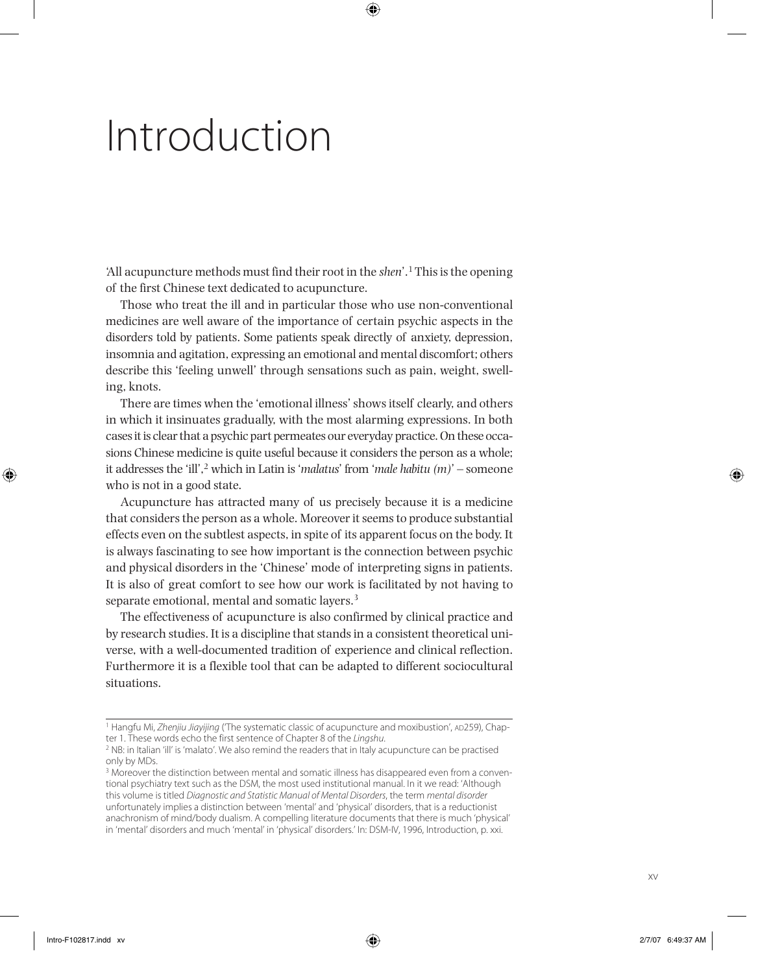# Introduction

'All acupuncture methods must find their root in the *shen*'.1 This is the opening of the first Chinese text dedicated to acupuncture.

 $\circledast$ 

Those who treat the ill and in particular those who use non-conventional medicines are well aware of the importance of certain psychic aspects in the disorders told by patients. Some patients speak directly of anxiety, depression, insomnia and agitation, expressing an emotional and mental discomfort; others describe this 'feeling unwell' through sensations such as pain, weight, swelling, knots.

There are times when the 'emotional illness' shows itself clearly, and others in which it insinuates gradually, with the most alarming expressions. In both cases it is clear that a psychic part permeates our everyday practice. On these occasions Chinese medicine is quite useful because it considers the person as a whole; it addresses the 'ill',2 which in Latin is '*malatus*' from '*male habitu (m)*' – someone who is not in a good state.

Acupuncture has attracted many of us precisely because it is a medicine that considers the person as a whole. Moreover it seems to produce substantial effects even on the subtlest aspects, in spite of its apparent focus on the body. It is always fascinating to see how important is the connection between psychic and physical disorders in the 'Chinese' mode of interpreting signs in patients. It is also of great comfort to see how our work is facilitated by not having to separate emotional, mental and somatic layers.<sup>3</sup>

The effectiveness of acupuncture is also confirmed by clinical practice and by research studies. It is a discipline that stands in a consistent theoretical universe, with a well-documented tradition of experience and clinical reflection. Furthermore it is a flexible tool that can be adapted to different sociocultural situations.

<sup>1</sup> Hangfu Mi, *Zhenjiu Jiayijing* ('The systematic classic of acupuncture and moxibustion', AD259), Chapter 1. These words echo the first sentence of Chapter 8 of the *Lingshu*.

<sup>&</sup>lt;sup>2</sup> NB: in Italian 'ill' is 'malato'. We also remind the readers that in Italy acupuncture can be practised only by MDs.

<sup>&</sup>lt;sup>3</sup> Moreover the distinction between mental and somatic illness has disappeared even from a conventional psychiatry text such as the DSM, the most used institutional manual. In it we read: 'Although this volume is titled *Diagnostic and Statistic Manual of Mental Disorders*, the term *mental disorder* unfortunately implies a distinction between 'mental' and 'physical' disorders, that is a reductionist anachronism of mind/body dualism. A compelling literature documents that there is much 'physical' in 'mental' disorders and much 'mental' in 'physical' disorders.' In: DSM-IV, 1996, Introduction, p. xxi.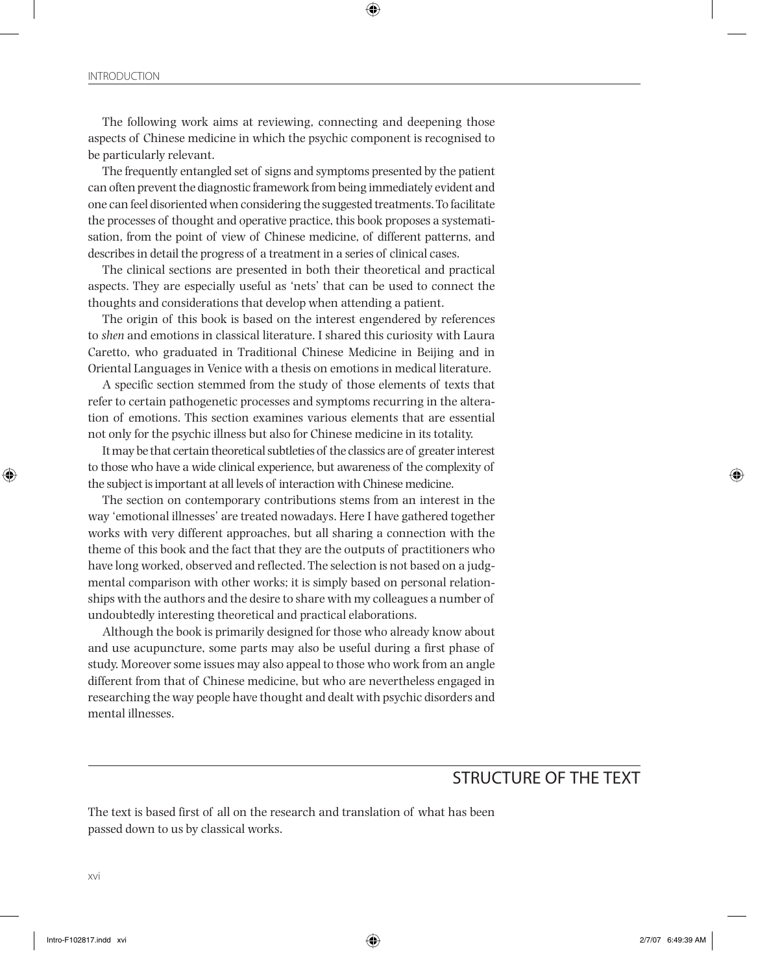The following work aims at reviewing, connecting and deepening those aspects of Chinese medicine in which the psychic component is recognised to be particularly relevant.

⊕

The frequently entangled set of signs and symptoms presented by the patient can often prevent the diagnostic framework from being immediately evident and one can feel disoriented when considering the suggested treatments. To facilitate the processes of thought and operative practice, this book proposes a systematisation, from the point of view of Chinese medicine, of different patterns, and describes in detail the progress of a treatment in a series of clinical cases.

The clinical sections are presented in both their theoretical and practical aspects. They are especially useful as 'nets' that can be used to connect the thoughts and considerations that develop when attending a patient.

The origin of this book is based on the interest engendered by references to *shen* and emotions in classical literature. I shared this curiosity with Laura Caretto, who graduated in Traditional Chinese Medicine in Beijing and in Oriental Languages in Venice with a thesis on emotions in medical literature.

A specific section stemmed from the study of those elements of texts that refer to certain pathogenetic processes and symptoms recurring in the alteration of emotions. This section examines various elements that are essential not only for the psychic illness but also for Chinese medicine in its totality.

It may be that certain theoretical subtleties of the classics are of greater interest to those who have a wide clinical experience, but awareness of the complexity of the subject is important at all levels of interaction with Chinese medicine.

The section on contemporary contributions stems from an interest in the way 'emotional illnesses' are treated nowadays. Here I have gathered together works with very different approaches, but all sharing a connection with the theme of this book and the fact that they are the outputs of practitioners who have long worked, observed and reflected. The selection is not based on a judgmental comparison with other works; it is simply based on personal relationships with the authors and the desire to share with my colleagues a number of undoubtedly interesting theoretical and practical elaborations.

Although the book is primarily designed for those who already know about and use acupuncture, some parts may also be useful during a first phase of study. Moreover some issues may also appeal to those who work from an angle different from that of Chinese medicine, but who are nevertheless engaged in researching the way people have thought and dealt with psychic disorders and mental illnesses.

# STRUCTURE OF THE TEXT

The text is based first of all on the research and translation of what has been passed down to us by classical works.

⊕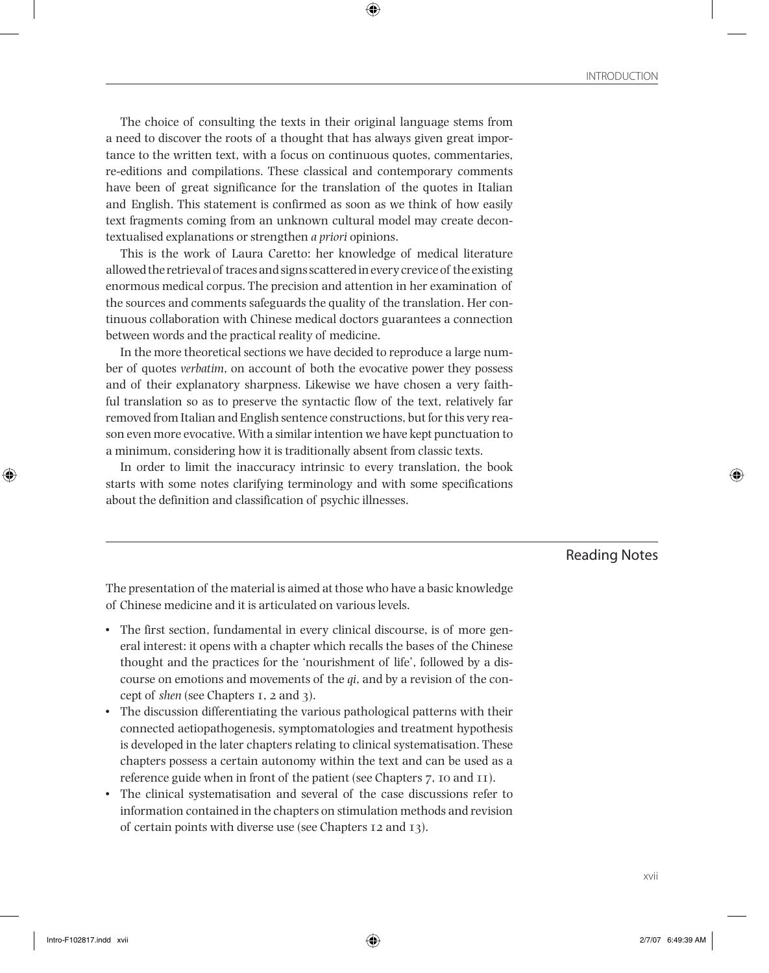The choice of consulting the texts in their original language stems from a need to discover the roots of a thought that has always given great importance to the written text, with a focus on continuous quotes, commentaries, re- editions and compilations. These classical and contemporary comments have been of great significance for the translation of the quotes in Italian and English. This statement is confirmed as soon as we think of how easily text fragments coming from an unknown cultural model may create decontextualised explanations or strengthen *a priori* opinions.

 $\bigcirc$ 

This is the work of Laura Caretto: her knowledge of medical literature allowed the retrieval of traces and signs scattered in every crevice of the existing enormous medical corpus. The precision and attention in her examination of the sources and comments safeguards the quality of the translation. Her continuous collaboration with Chinese medical doctors guarantees a connection between words and the practical reality of medicine.

In the more theoretical sections we have decided to reproduce a large number of quotes *verbatim*, on account of both the evocative power they possess and of their explanatory sharpness. Likewise we have chosen a very faithful translation so as to preserve the syntactic flow of the text, relatively far removed from Italian and English sentence constructions, but for this very reason even more evocative. With a similar intention we have kept punctuation to a minimum, considering how it is traditionally absent from classic texts.

In order to limit the inaccuracy intrinsic to every translation, the book starts with some notes clarifying terminology and with some specifications about the definition and classification of psychic illnesses.

Reading Notes

♠

The presentation of the material is aimed at those who have a basic knowledge of Chinese medicine and it is articulated on various levels.

- The first section, fundamental in every clinical discourse, is of more general interest: it opens with a chapter which recalls the bases of the Chinese thought and the practices for the 'nourishment of life', followed by a discourse on emotions and movements of the *qi*, and by a revision of the concept of *shen* (see Chapters 1, 2 and 3).
- The discussion differentiating the various pathological patterns with their connected aetiopathogenesis, symptomatologies and treatment hypothesis is developed in the later chapters relating to clinical systematisation. These chapters possess a certain autonomy within the text and can be used as a reference guide when in front of the patient (see Chapters 7, 10 and 11).
- The clinical systematisation and several of the case discussions refer to information contained in the chapters on stimulation methods and revision of certain points with diverse use (see Chapters 12 and 13).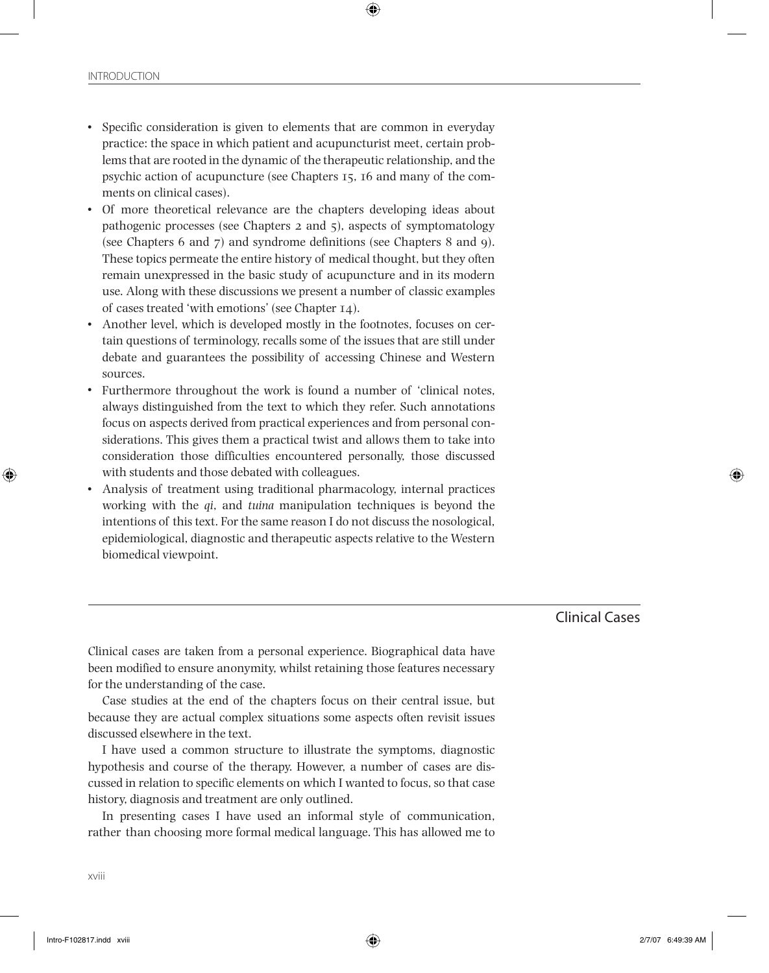• Specific consideration is given to elements that are common in everyday practice: the space in which patient and acupuncturist meet, certain problems that are rooted in the dynamic of the therapeutic relationship, and the psychic action of acupuncture (see Chapters 15, 16 and many of the comments on clinical cases).

 $\bigcirc$ 

- Of more theoretical relevance are the chapters developing ideas about pathogenic processes (see Chapters 2 and 5), aspects of symptomatology (see Chapters 6 and 7) and syndrome definitions (see Chapters 8 and 9). These topics permeate the entire history of medical thought, but they often remain unexpressed in the basic study of acupuncture and in its modern use. Along with these discussions we present a number of classic examples of cases treated 'with emotions' (see Chapter 14).
- Another level, which is developed mostly in the footnotes, focuses on certain questions of terminology, recalls some of the issues that are still under debate and guarantees the possibility of accessing Chinese and Western sources.
- Furthermore throughout the work is found a number of 'clinical notes, always distinguished from the text to which they refer. Such annotations focus on aspects derived from practical experiences and from personal considerations. This gives them a practical twist and allows them to take into consideration those difficulties encountered personally, those discussed with students and those debated with colleagues.
- Analysis of treatment using traditional pharmacology, internal practices working with the *qi*, and *tuina* manipulation techniques is beyond the intentions of this text. For the same reason I do not discuss the nosological, epidemiological, diagnostic and therapeutic aspects relative to the Western biomedical viewpoint.

Clinical Cases

Clinical cases are taken from a personal experience. Biographical data have been modified to ensure anonymity, whilst retaining those features necessary for the understanding of the case.

Case studies at the end of the chapters focus on their central issue, but because they are actual complex situations some aspects often revisit issues discussed elsewhere in the text.

I have used a common structure to illustrate the symptoms, diagnostic hypothesis and course of the therapy. However, a number of cases are discussed in relation to specific elements on which I wanted to focus, so that case history, diagnosis and treatment are only outlined.

In presenting cases I have used an informal style of communication, rather than choosing more formal medical language. This has allowed me to

⊕

↔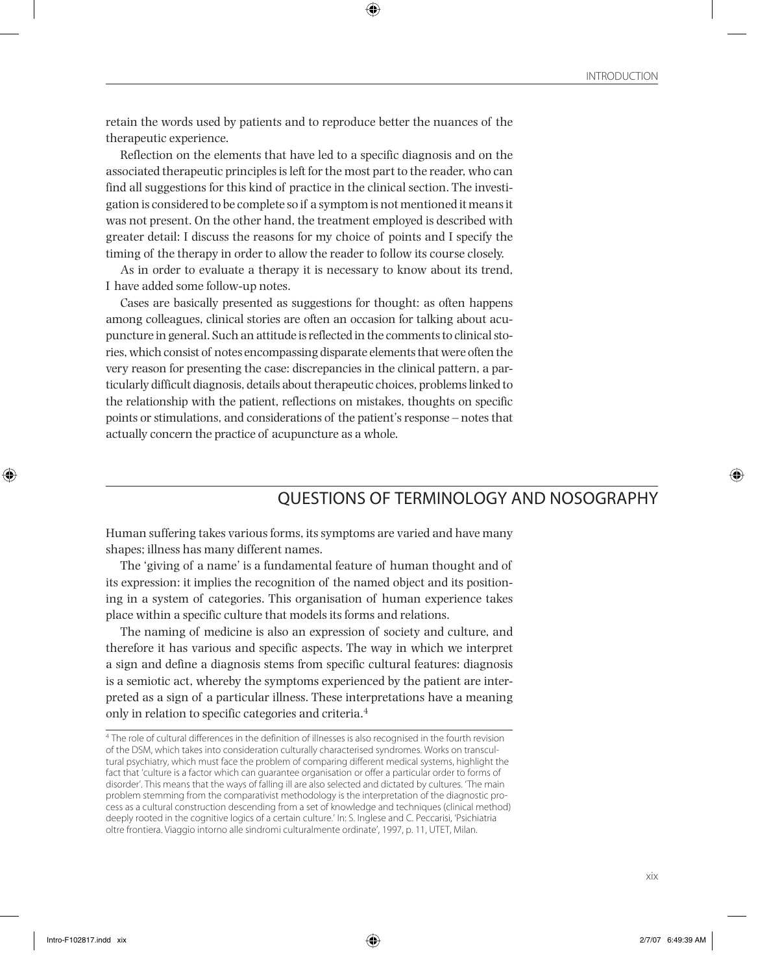retain the words used by patients and to reproduce better the nuances of the therapeutic experience.

 $\bigcirc$ 

Reflection on the elements that have led to a specific diagnosis and on the associated therapeutic principles is left for the most part to the reader, who can find all suggestions for this kind of practice in the clinical section. The investigation is considered to be complete so if a symptom is not mentioned it means it was not present. On the other hand, the treatment employed is described with greater detail: I discuss the reasons for my choice of points and I specify the timing of the therapy in order to allow the reader to follow its course closely.

As in order to evaluate a therapy it is necessary to know about its trend, I have added some follow-up notes.

Cases are basically presented as suggestions for thought: as often happens among colleagues, clinical stories are often an occasion for talking about acupuncture in general. Such an attitude is reflected in the comments to clinical stories, which consist of notes encompassing disparate elements that were often the very reason for presenting the case: discrepancies in the clinical pattern, a particularly difficult diagnosis, details about therapeutic choices, problems linked to the relationship with the patient, reflections on mistakes, thoughts on specific points or stimulations, and considerations of the patient's response – notes that actually concern the practice of acupuncture as a whole.

## QUESTIONS OF TERMINOLOGY AND NOSOGRAPHY

Human suffering takes various forms, its symptoms are varied and have many shapes; illness has many different names.

The 'giving of a name' is a fundamental feature of human thought and of its expression: it implies the recognition of the named object and its positioning in a system of categories. This organisation of human experience takes place within a specific culture that models its forms and relations.

The naming of medicine is also an expression of society and culture, and therefore it has various and specific aspects. The way in which we interpret a sign and define a diagnosis stems from specific cultural features: diagnosis is a semiotic act, whereby the symptoms experienced by the patient are interpreted as a sign of a particular illness. These interpretations have a meaning only in relation to specific categories and criteria.4

⊕

<sup>4</sup> The role of cultural differences in the definition of illnesses is also recognised in the fourth revision of the DSM, which takes into consideration culturally characterised syndromes. Works on transcultural psychiatry, which must face the problem of comparing different medical systems, highlight the fact that 'culture is a factor which can guarantee organisation or offer a particular order to forms of disorder'. This means that the ways of falling ill are also selected and dictated by cultures. ' The main problem stemming from the comparativist methodology is the interpretation of the diagnostic process as a cultural construction descending from a set of knowledge and techniques (clinical method) deeply rooted in the cognitive logics of a certain culture.' In: S. Inglese and C. Peccarisi, 'Psichiatria oltre frontiera. Viaggio intorno alle sindromi culturalmente ordinate', 1997, p. 11, UTET, Milan.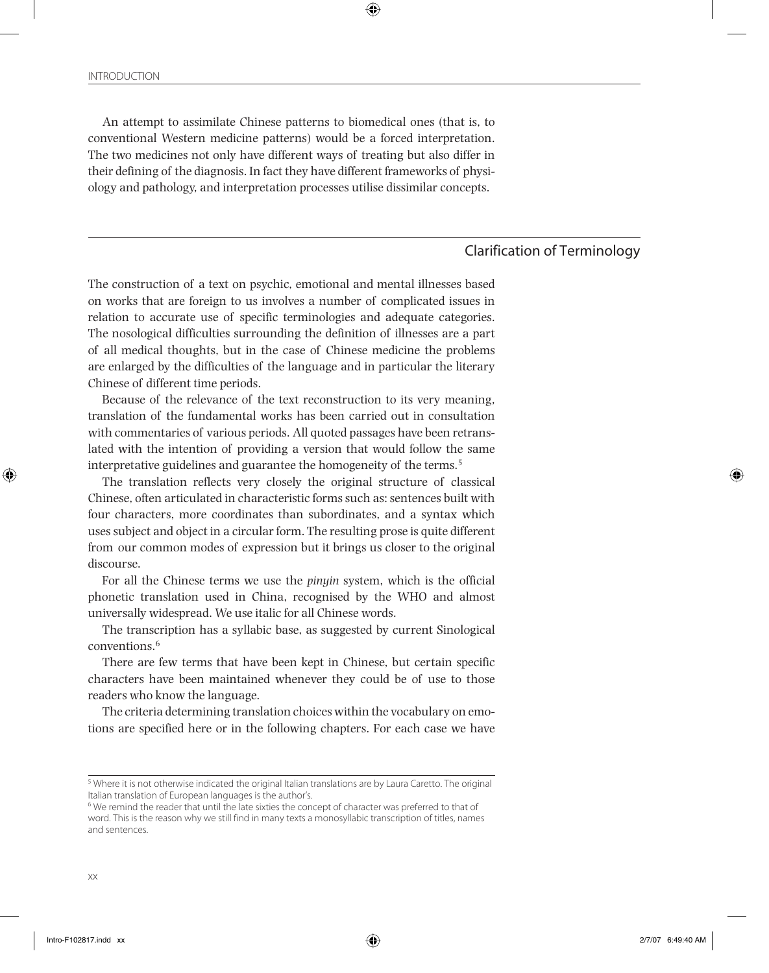An attempt to assimilate Chinese patterns to biomedical ones (that is, to conventional Western medicine patterns) would be a forced interpretation. The two medicines not only have different ways of treating but also differ in their defining of the diagnosis. In fact they have different frameworks of physiology and pathology, and interpretation processes utilise dissimilar concepts.

#### Clarification of Terminology

The construction of a text on psychic, emotional and mental illnesses based on works that are foreign to us involves a number of complicated issues in relation to accurate use of specific terminologies and adequate categories. The nosological difficulties surrounding the definition of illnesses are a part of all medical thoughts, but in the case of Chinese medicine the problems are enlarged by the difficulties of the language and in particular the literary Chinese of different time periods.

Because of the relevance of the text reconstruction to its very meaning, translation of the fundamental works has been carried out in consultation with commentaries of various periods. All quoted passages have been retranslated with the intention of providing a version that would follow the same interpretative guidelines and guarantee the homogeneity of the terms.<sup>5</sup>

The translation reflects very closely the original structure of classical Chinese, often articulated in characteristic forms such as: sentences built with four characters, more coordinates than subordinates, and a syntax which uses subject and object in a circular form. The resulting prose is quite different from our common modes of expression but it brings us closer to the original discourse.

For all the Chinese terms we use the *pinyin* system, which is the official phonetic translation used in China, recognised by the WHO and almost universally widespread. We use italic for all Chinese words.

The transcription has a syllabic base, as suggested by current Sinological conventions.6

There are few terms that have been kept in Chinese, but certain specific characters have been maintained whenever they could be of use to those readers who know the language.

The criteria determining translation choices within the vocabulary on emotions are specified here or in the following chapters. For each case we have

⊕

<sup>&</sup>lt;sup>5</sup> Where it is not otherwise indicated the original Italian translations are by Laura Caretto. The original Italian translation of European languages is the author's.

<sup>&</sup>lt;sup>6</sup> We remind the reader that until the late sixties the concept of character was preferred to that of word. This is the reason why we still find in many texts a monosyllabic transcription of titles, names and sentences.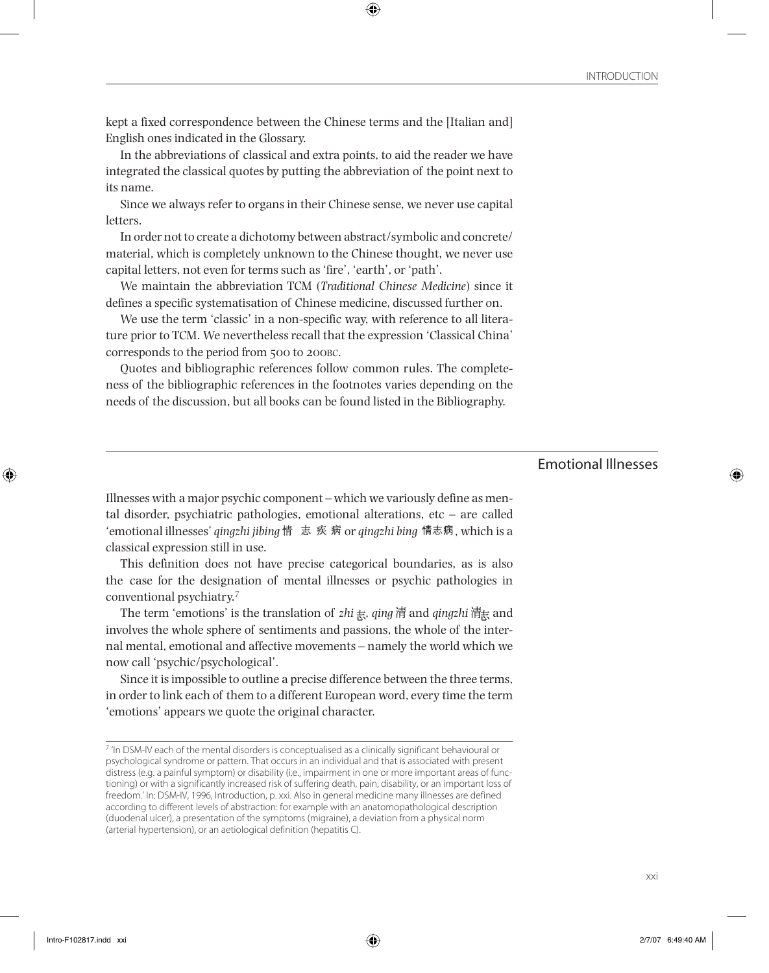kept a fixed correspondence between the Chinese terms and the [Italian and] English ones indicated in the Glossary.

 $\bigcirc$ 

In the abbreviations of classical and extra points, to aid the reader we have integrated the classical quotes by putting the abbreviation of the point next to its name.

Since we always refer to organs in their Chinese sense, we never use capital letters.

In order not to create a dichotomy between abstract/symbolic and concrete/ material, which is completely unknown to the Chinese thought, we never use capital letters, not even for terms such as 'fire', 'earth', or 'path'.

We maintain the abbreviation TCM (*Traditional Chinese Medicine*) since it defines a specific systematisation of Chinese medicine, discussed further on.

We use the term 'classic' in a non-specific way, with reference to all literature prior to TCM. We nevertheless recall that the expression 'Classical China' corresponds to the period from 500 to 200BC.

Quotes and bibliographic references follow common rules. The completeness of the bibliographic references in the footnotes varies depending on the needs of the discussion, but all books can be found listed in the Bibliography.

#### Emotional Illnesses

Illnesses with a major psychic component – which we variously define as mental disorder, psychiatric pathologies, emotional alterations, etc – are called 'emotional illnesses' *qingzhi jibing* 情 志 疾 病 or *qingzhi bing* 情志病, which is a classical expression still in use.

This definition does not have precise categorical boundaries, as is also the case for the designation of mental illnesses or psychic pathologies in conventional psychiatry.7

The term 'emotions' is the translation of *zhi* 志, *qing* 清 and *qingzhi* 清志 and involves the whole sphere of sentiments and passions, the whole of the internal mental, emotional and affective movements – namely the world which we now call 'psychic/psychological'.

Since it is impossible to outline a precise difference between the three terms, in order to link each of them to a different European word, every time the term 'emotions' appears we quote the original character.

<sup>&</sup>lt;sup>7</sup> 'In DSM-IV each of the mental disorders is conceptualised as a clinically significant behavioural or psychological syndrome or pattern. That occurs in an individual and that is associated with present distress (e.g. a painful symptom) or disability (i.e., impairment in one or more important areas of functioning) or with a significantly increased risk of suffering death, pain, disability, or an important loss of freedom.' In: DSM-IV, 1996, Introduction, p. xxi. Also in general medicine many illnesses are defined according to different levels of abstraction: for example with an anatomopathological description (duodenal ulcer), a presentation of the symptoms (migraine), a deviation from a physical norm (arterial hypertension), or an aetiological definition (hepatitis C).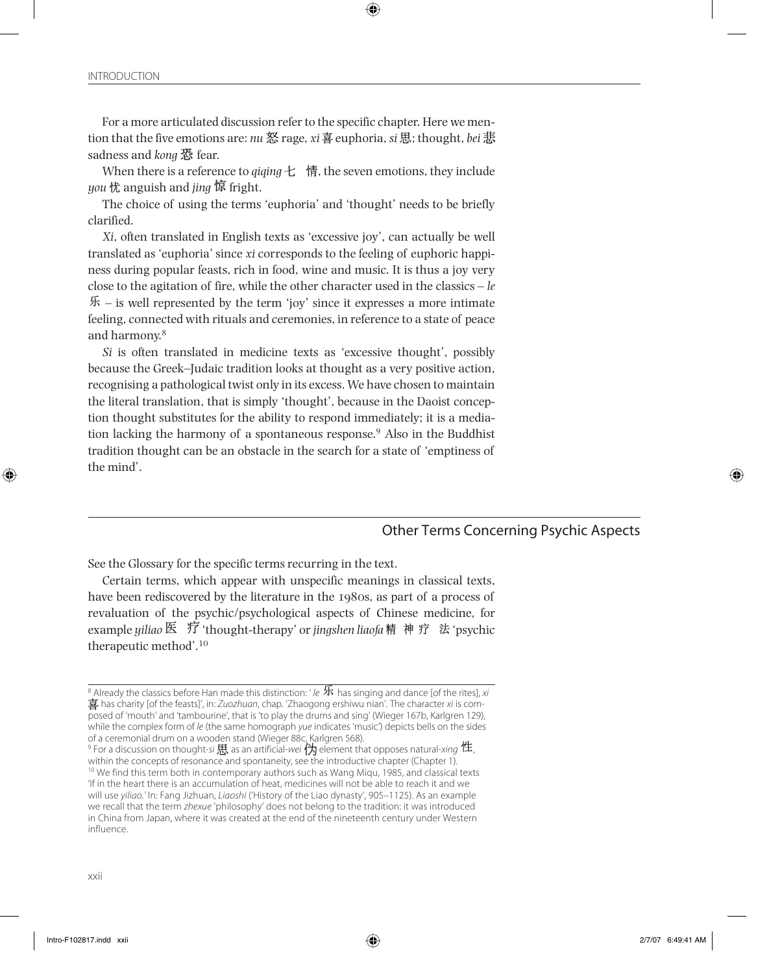For a more articulated discussion refer to the specific chapter. Here we mention that the five emotions are:  $nu$  怒 rage,  $xi \equiv$  euphoria,  $si \equiv$ ; thought,  $bei \equiv$ sadness and *kong* 恐 fear.

⊕

When there is a reference to *qiqing*  $\pm$   $\vec{\textbf{f}}$ , the seven emotions, they include *you* 忧 anguish and *jing* 惊 fright.

The choice of using the terms 'euphoria' and 'thought' needs to be briefly clarified.

*Xi*, often translated in English texts as 'excessive joy', can actually be well translated as 'euphoria' since *xi* corresponds to the feeling of euphoric happiness during popular feasts, rich in food, wine and music. It is thus a joy very close to the agitation of fire, while the other character used in the classics – *le*  $\frac{f}{f}$  – is well represented by the term 'joy' since it expresses a more intimate feeling, connected with rituals and ceremonies, in reference to a state of peace and harmony.8

*Si* is often translated in medicine texts as 'excessive thought', possibly because the Greek–Judaic tradition looks at thought as a very positive action, recognising a pathological twist only in its excess. We have chosen to maintain the literal translation, that is simply 'thought', because in the Daoist conception thought substitutes for the ability to respond immediately; it is a mediation lacking the harmony of a spontaneous response.9 Also in the Buddhist tradition thought can be an obstacle in the search for a state of 'emptiness of the mind'.

### Other Terms Concerning Psychic Aspects

See the Glossary for the specific terms recurring in the text.

Certain terms, which appear with unspecific meanings in classical texts, have been rediscovered by the literature in the 1980s, as part of a process of revaluation of the psychic/psychological aspects of Chinese medicine, for example *yiliao* 医 疗 'thought-therapy' or *jingshen liaofa* 精 神 疗 法 'psychic therapeutic method'.10

<sup>9</sup> For a discussion on thought-si 思 as an artificial-*wei* (为 element that opposes natural-*xing* "<sup>出</sup>, within the concepts of resonance and spontaneity, see the introductive chapter (Chapter 1). <sup>10</sup> We find this term both in contemporary authors such as Wang Migu, 1985, and classical texts 'If in the heart there is an accumulation of heat, medicines will not be able to reach it and we will use *yiliao.'* In: Fang Jizhuan, *Liaoshi* ('History of the Liao dynasty', 905–1125). As an example we recall that the term *zhexue* 'philosophy' does not belong to the tradition: it was introduced in China from Japan, where it was created at the end of the nineteenth century under Western influence.

 $^8$  Already the classics before Han made this distinction: ' *le*  $3\!\pi$  *h*as singing and dance [of the rites], *xi*  has charity [of the feasts]', in: *Zuozhuan*, chap. 'Zhaogong ershiwu nian'. The character *xi* is composed of 'mouth' and 'tambourine', that is 'to play the drums and sing' (Wieger 167b, Karlgren 129), while the complex form of *le* (the same homograph *yue* indicates 'music') depicts bells on the sides of a ceremonial drum on a wooden stand (Wieger 88c, Karlgren 568).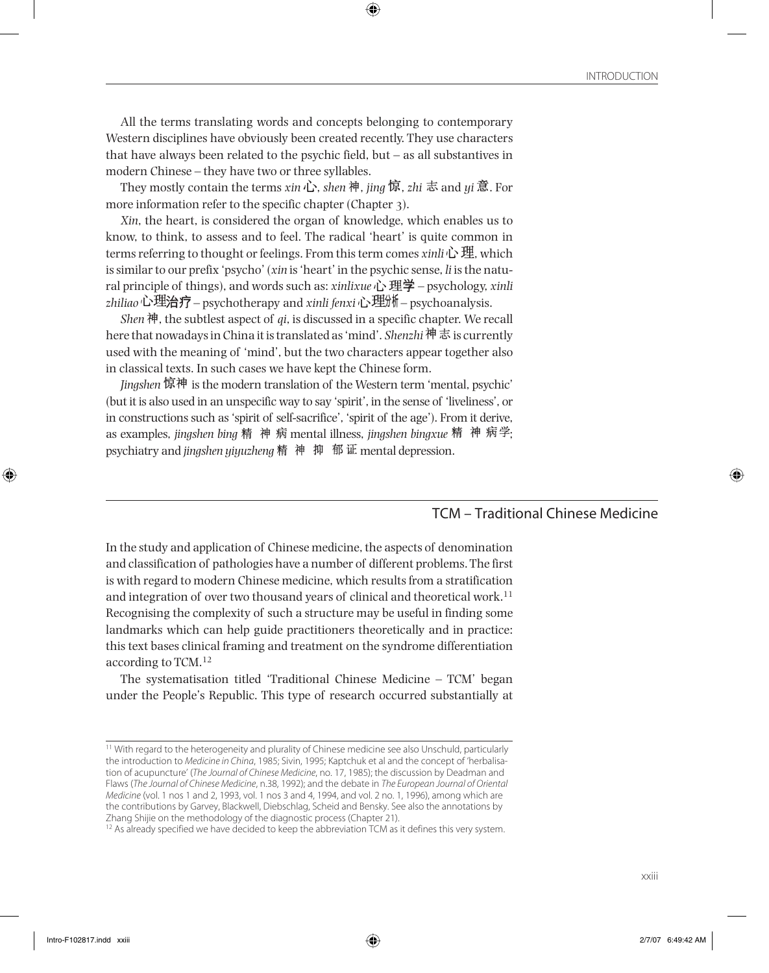All the terms translating words and concepts belonging to contemporary Western disciplines have obviously been created recently. They use characters that have always been related to the psychic field, but – as all substantives in modern Chinese – they have two or three syllables.

 $\bigcirc$ 

They mostly contain the terms *xin*  $\mathcal{L}$ , *shen*  $\mathcal{H}$ , *jing*  $\mathcal{F}$ , *zhi*  $\mathcal{F}$  and *yi*  $\mathcal{F}$ . For more information refer to the specific chapter (Chapter 3).

*Xin*, the heart, is considered the organ of knowledge, which enables us to know, to think, to assess and to feel. The radical 'heart' is quite common in terms referring to thought or feelings. From this term comes *xinli*  $\hat{\mathbf{L}}$   $\hat{\mathbf{H}}$ , which is similar to our prefix 'psycho' (*xin* is 'heart' in the psychic sense, *li* is the natural principle of things), and words such as: *xinlixue* 心 理学 – psychology, *xinli* zhiliao **心理治疗** – psychotherapy and *xinli fenxi* 心理⁄th – psychoanalysis.

*Shen* 神, the subtlest aspect of *qi*, is discussed in a specific chapter. We recall here that nowadays in China it is translated as 'mind'. *Shenzhi* 神志 is currently used with the meaning of 'mind', but the two characters appear together also in classical texts. In such cases we have kept the Chinese form.

*Jingshen* is the modern translation of the Western term 'mental, psychic' (but it is also used in an unspecific way to say 'spirit', in the sense of 'liveliness', or in constructions such as 'spirit of self-sacrifice', 'spirit of the age'). From it derive, as examples, *jingshen bing* 精 神 病 mental illness, *jingshen bingxue* 精 神 病学; psychiatry and *jingshen yiyuzheng* 精 神 抑 郁 证 mental depression.

## TCM – Traditional Chinese Medicine

In the study and application of Chinese medicine, the aspects of denomination and classification of pathologies have a number of different problems. The first is with regard to modern Chinese medicine, which results from a stratification and integration of over two thousand years of clinical and theoretical work.<sup>11</sup> Recognising the complexity of such a structure may be useful in finding some landmarks which can help guide practitioners theoretically and in practice: this text bases clinical framing and treatment on the syndrome differentiation according to TCM.12

The systematisation titled 'Traditional Chinese Medicine – TCM' began under the People's Republic. This type of research occurred substantially at

⊕

<sup>&</sup>lt;sup>11</sup> With regard to the heterogeneity and plurality of Chinese medicine see also Unschuld, particularly the introduction to *Medicine in China*, 1985; Sivin, 1995; Kaptchuk et al and the concept of 'herbalisation of acupuncture' (*The Journal of Chinese Medicine*, no. 17, 1985); the discussion by Deadman and Flaws (*The Journal of Chinese Medicine*, n.38, 1992); and the debate in *The European Journal of Oriental Medicine* (vol. 1 nos 1 and 2, 1993, vol. 1 nos 3 and 4, 1994, and vol. 2 no. 1, 1996), among which are the contributions by Garvey, Blackwell, Diebschlag, Scheid and Bensky. See also the annotations by Zhang Shijie on the methodology of the diagnostic process (Chapter 21).

<sup>&</sup>lt;sup>12</sup> As already specified we have decided to keep the abbreviation TCM as it defines this very system.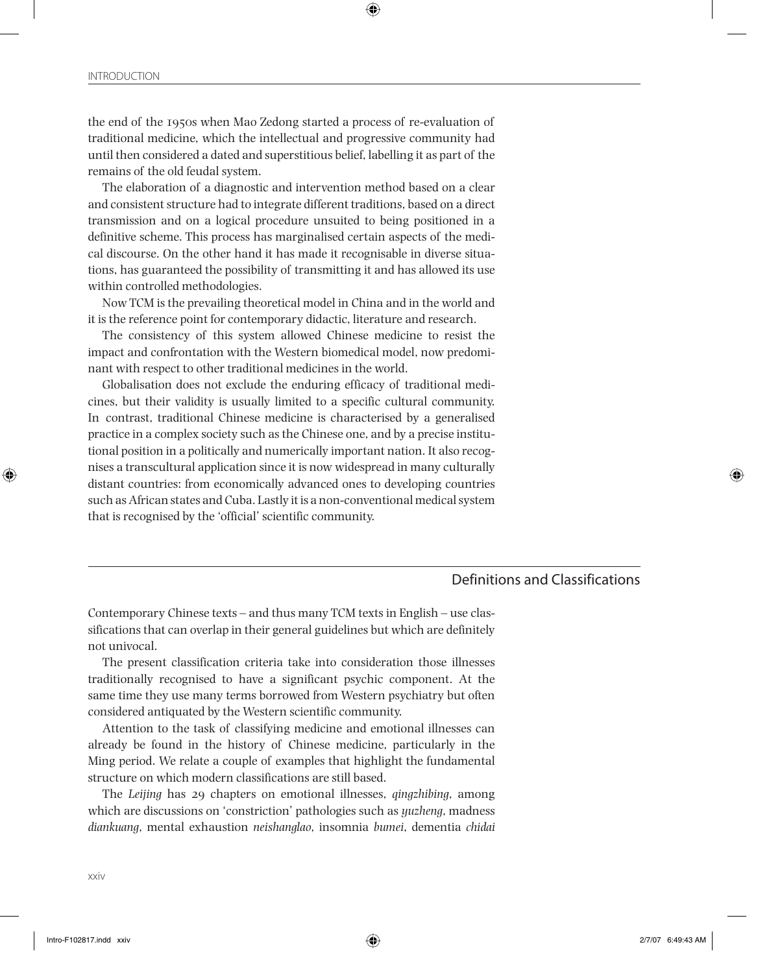the end of the 1950s when Mao Zedong started a process of re-evaluation of traditional medicine, which the intellectual and progressive community had until then considered a dated and superstitious belief, labelling it as part of the remains of the old feudal system.

⊕

The elaboration of a diagnostic and intervention method based on a clear and consistent structure had to integrate different traditions, based on a direct transmission and on a logical procedure unsuited to being positioned in a definitive scheme. This process has marginalised certain aspects of the medical discourse. On the other hand it has made it recognisable in diverse situations, has guaranteed the possibility of transmitting it and has allowed its use within controlled methodologies.

Now TCM is the prevailing theoretical model in China and in the world and it is the reference point for contemporary didactic, literature and research.

The consistency of this system allowed Chinese medicine to resist the impact and confrontation with the Western biomedical model, now predominant with respect to other traditional medicines in the world.

Globalisation does not exclude the enduring efficacy of traditional medicines, but their validity is usually limited to a specific cultural community. In contrast, traditional Chinese medicine is characterised by a generalised practice in a complex society such as the Chinese one, and by a precise institutional position in a politically and numerically important nation. It also recognises a transcultural application since it is now widespread in many culturally distant countries: from economically advanced ones to developing countries such as African states and Cuba. Lastly it is a non-conventional medical system that is recognised by the 'official' scientific community.

### Definitions and Classifications

Contemporary Chinese texts – and thus many TCM texts in English – use classifications that can overlap in their general guidelines but which are definitely not univocal.

The present classification criteria take into consideration those illnesses traditionally recognised to have a significant psychic component. At the same time they use many terms borrowed from Western psychiatry but often considered antiquated by the Western scientific community.

Attention to the task of classifying medicine and emotional illnesses can already be found in the history of Chinese medicine, particularly in the Ming period. We relate a couple of examples that highlight the fundamental structure on which modern classifications are still based.

The *Leijing* has 29 chapters on emotional illnesses, *qingzhibing*, among which are discussions on 'constriction' pathologies such as *yuzheng*, madness *diankuang*, mental exhaustion *neishanglao*, insomnia *bumei*, dementia *chidai*

⊕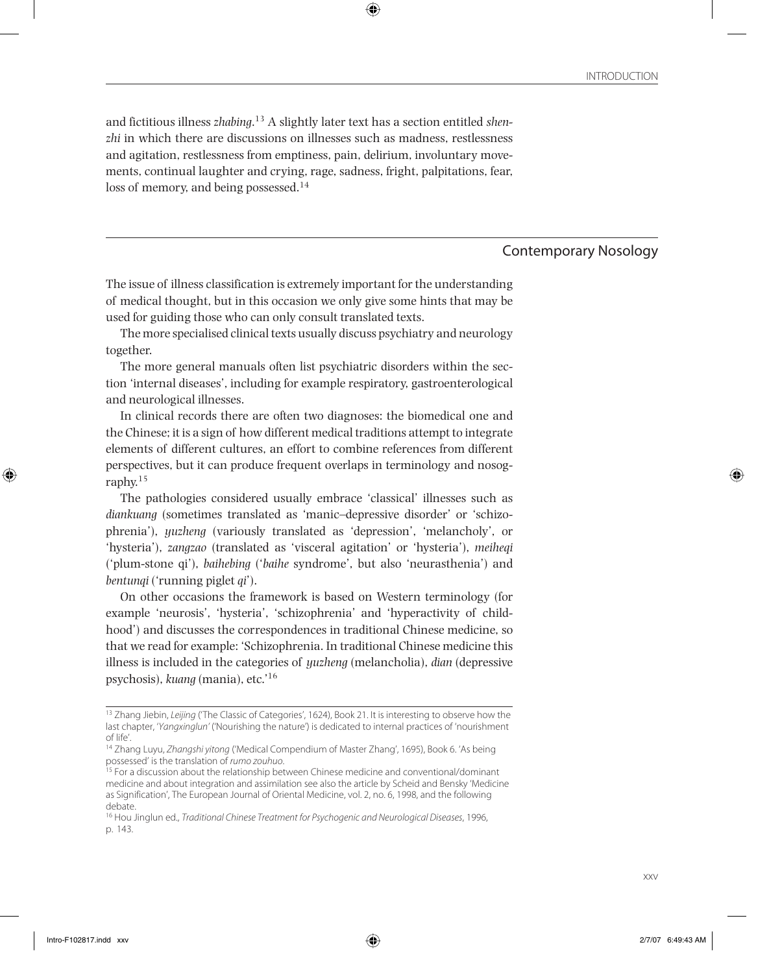and fictitious illness *zhabing*. 13 A slightly later text has a section entitled *shenzhi* in which there are discussions on illnesses such as madness, restlessness and agitation, restlessness from emptiness, pain, delirium, involuntary movements, continual laughter and crying, rage, sadness, fright, palpitations, fear, loss of memory, and being possessed.<sup>14</sup>

 $\bigcirc$ 

#### Contemporary Nosology

The issue of illness classification is extremely important for the understanding of medical thought, but in this occasion we only give some hints that may be used for guiding those who can only consult translated texts.

The more specialised clinical texts usually discuss psychiatry and neurology together.

The more general manuals often list psychiatric disorders within the section 'internal diseases', including for example respiratory, gastroenterological and neurological illnesses.

In clinical records there are often two diagnoses: the biomedical one and the Chinese; it is a sign of how different medical traditions attempt to integrate elements of different cultures, an effort to combine references from different perspectives, but it can produce frequent overlaps in terminology and nosography.15

The pathologies considered usually embrace 'classical' illnesses such as *diankuang* (sometimes translated as 'manic–depressive disorder' or 'schizophrenia'), *yuzheng* (variously translated as 'depression', 'melancholy', or 'hysteria'), *zangzao* (translated as 'visceral agitation' or 'hysteria'), *meiheqi* ('plum-stone qi'), *baihebing* ('*baihe* syndrome', but also 'neurasthenia') and *bentunqi* ('running piglet *qi*').

On other occasions the framework is based on Western terminology (for example 'neurosis', 'hysteria', 'schizophrenia' and 'hyperactivity of childhood') and discusses the correspondences in traditional Chinese medicine, so that we read for example: 'Schizophrenia. In traditional Chinese medicine this illness is included in the categories of *yuzheng* (melancholia), *dian* (depressive psychosis), *kuang* (mania), etc.'16

⊕

′€

<sup>&</sup>lt;sup>13</sup> Zhang Jiebin, *Leijing* ('The Classic of Categories', 1624), Book 21. It is interesting to observe how the last chapter, '*Yangxinglun'* ('Nourishing the nature') is dedicated to internal practices of 'nourishment of life'.

<sup>14</sup> Zhang Luyu, *Zhangshi yitong* ('Medical Compendium of Master Zhang', 1695), Book 6. 'As being possessed' is the translation of *rumo zouhuo*.

<sup>&</sup>lt;sup>15</sup> For a discussion about the relationship between Chinese medicine and conventional/dominant medicine and about integration and assimilation see also the article by Scheid and Bensky 'Medicine as Signification', The European Journal of Oriental Medicine, vol. 2, no. 6, 1998, and the following debate.

<sup>16</sup> Hou Jinglun ed., *Traditional Chinese Treatment for Psychogenic and Neurological Diseases*, 1996, p. 143.